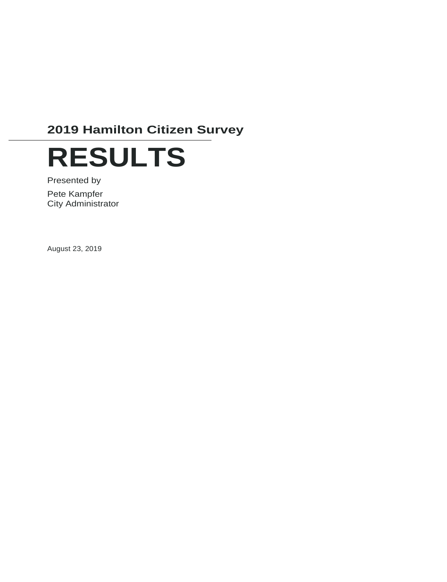# **2019 Hamilton Citizen Survey**



Presented by Pete Kampfer City Administrator

August 23, 2019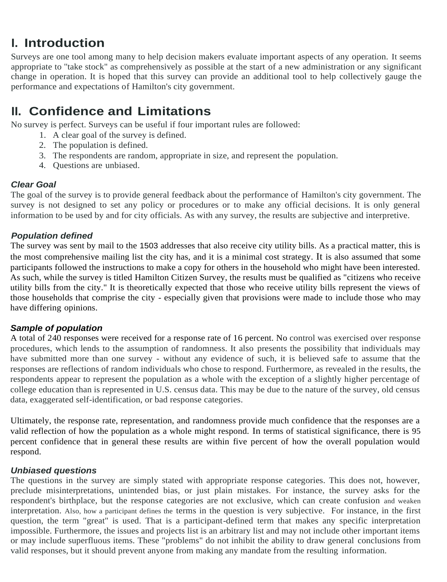# **I. Introduction**

Surveys are one tool among many to help decision makers evaluate important aspects of any operation. It seems appropriate to ''take stock" as comprehensively as possible at the start of a new administration or any significant change in operation. It is hoped that this survey can provide an additional tool to help collectively gauge the performance and expectations of Hamilton's city government.

# **II. Confidence and Limitations**

No survey is perfect. Surveys can be useful if four important rules are followed:

- 1. A clear goal of the survey is defined.
- 2. The population is defined.
- 3. The respondents are random, appropriate in size, and represent the population.
- 4. Questions are unbiased.

## *Clear Goal*

The goal of the survey is to provide general feedback about the performance of Hamilton's city government. The survey is not designed to set any policy or procedures or to make any official decisions. It is only general information to be used by and for city officials. As with any survey, the results are subjective and interpretive.

## *Population defined*

The survey was sent by mail to the 1503 addresses that also receive city utility bills. As a practical matter, this is the most comprehensive mailing list the city has, and it is a minimal cost strategy. It is also assumed that some participants followed the instructions to make a copy for others in the household who might have been interested. As such, while the survey is titled Hamilton Citizen Survey, the results must be qualified as "citizens who receive utility bills from the city." It is theoretically expected that those who receive utility bills represent the views of those households that comprise the city - especially given that provisions were made to include those who may have differing opinions.

## *Sample of population*

A total of 240 responses were received for a response rate of 16 percent. No control was exercised over response procedures, which lends to the assumption of randomness. It also presents the possibility that individuals may have submitted more than one survey - without any evidence of such, it is believed safe to assume that the responses are reflections of random individuals who chose to respond. Furthermore, as revealed in the results, the respondents appear to represent the population as a whole with the exception of a slightly higher percentage of college education than is represented in U.S. census data. This may be due to the nature of the survey, old census data, exaggerated self-identification, or bad response categories.

Ultimately, the response rate, representation, and randomness provide much confidence that the responses are a valid reflection of how the population as a whole might respond. In terms of statistical significance, there is 95 percent confidence that in general these results are within five percent of how the overall population would respond.

## *Unbiased questions*

The questions in the survey are simply stated with appropriate response categories. This does not, however, preclude misinterpretations, unintended bias, or just plain mistakes. For instance, the survey asks for the respondent's birthplace, but the response categories are not exclusive, which can create confusion and weaken interpretation. Also, how a participant defines the terms in the question is very subjective. For instance, in the first question, the term "great" is used. That is a participant-defined term that makes any specific interpretation impossible. Furthermore, the issues and projects list is an arbitrary list and may not include other important items or may include superfluous items. These "problems" do not inhibit the ability to draw general conclusions from valid responses, but it should prevent anyone from making any mandate from the resulting information.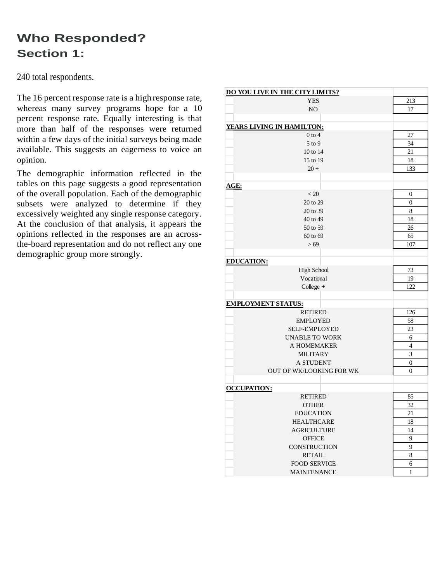# **Who Responded? Section 1:**

240 total respondents.

The 16 percent response rate is a high response rate, whereas many survey programs hope for a 10 percent response rate. Equally interesting is that more than half of the responses were returned within a few days of the initial surveys being made available. This suggests an eagerness to voice an opinion.

The demographic information reflected in the tables on this page suggests a good representation of the overall population. Each of the demographic subsets were analyzed to determine if they excessively weighted any single response category. At the conclusion of that analysis, it appears the opinions reflected in the responses are an acrossthe-board representation and do not reflect any one demographic group more strongly.

| DO YOU LIVE IN THE CITY LIMITS? |                  |  |  |  |  |  |  |
|---------------------------------|------------------|--|--|--|--|--|--|
| <b>YES</b>                      | 213              |  |  |  |  |  |  |
| NO                              | 17               |  |  |  |  |  |  |
|                                 |                  |  |  |  |  |  |  |
| YEARS LIVING IN HAMILTON:       |                  |  |  |  |  |  |  |
| $0$ to $4$                      | 27               |  |  |  |  |  |  |
| $5$ to 9                        | 34               |  |  |  |  |  |  |
| 10 to 14                        | 21               |  |  |  |  |  |  |
| 15 to 19                        | 18               |  |  |  |  |  |  |
| $20 +$                          | 133              |  |  |  |  |  |  |
|                                 |                  |  |  |  |  |  |  |
| <u>AGE:</u>                     |                  |  |  |  |  |  |  |
| < 20                            | 0                |  |  |  |  |  |  |
|                                 |                  |  |  |  |  |  |  |
| 20 to 29                        | $\boldsymbol{0}$ |  |  |  |  |  |  |
| 20 to 39                        | 8                |  |  |  |  |  |  |
| 40 to 49                        | 18               |  |  |  |  |  |  |
| 50 to 59                        | 26               |  |  |  |  |  |  |
| 60 to 69                        | 65               |  |  |  |  |  |  |
| > 69                            | 107              |  |  |  |  |  |  |
|                                 |                  |  |  |  |  |  |  |
| <b>EDUCATION:</b>               |                  |  |  |  |  |  |  |
| <b>High School</b>              | 73               |  |  |  |  |  |  |
| Vocational                      | 19               |  |  |  |  |  |  |
| $Collect +$                     | 122              |  |  |  |  |  |  |
|                                 |                  |  |  |  |  |  |  |
| <b>EMPLOYMENT STATUS:</b>       |                  |  |  |  |  |  |  |
| <b>RETIRED</b>                  | 126              |  |  |  |  |  |  |
| <b>EMPLOYED</b>                 | 58               |  |  |  |  |  |  |
| <b>SELF-EMPLOYED</b>            | 23               |  |  |  |  |  |  |
| <b>UNABLE TO WORK</b>           | 6                |  |  |  |  |  |  |
| A HOMEMAKER                     | 4                |  |  |  |  |  |  |
| <b>MILITARY</b>                 | 3                |  |  |  |  |  |  |
| <b>A STUDENT</b>                | $\overline{0}$   |  |  |  |  |  |  |
| OUT OF WK/LOOKING FOR WK        | $\overline{0}$   |  |  |  |  |  |  |
|                                 |                  |  |  |  |  |  |  |
| <b>OCCUPATION:</b>              |                  |  |  |  |  |  |  |
| <b>RETIRED</b>                  | 85               |  |  |  |  |  |  |
| <b>OTHER</b>                    | 32               |  |  |  |  |  |  |
| <b>EDUCATION</b>                | 21               |  |  |  |  |  |  |
| <b>HEALTHCARE</b>               | 18               |  |  |  |  |  |  |
| <b>AGRICULTURE</b>              | 14               |  |  |  |  |  |  |
|                                 |                  |  |  |  |  |  |  |
| <b>OFFICE</b>                   | 9                |  |  |  |  |  |  |
| CONSTRUCTION                    | 9                |  |  |  |  |  |  |
| <b>RETAIL</b>                   | 8                |  |  |  |  |  |  |
| <b>FOOD SERVICE</b>             | 6                |  |  |  |  |  |  |
| <b>MAINTENANCE</b>              | $\mathbf{1}$     |  |  |  |  |  |  |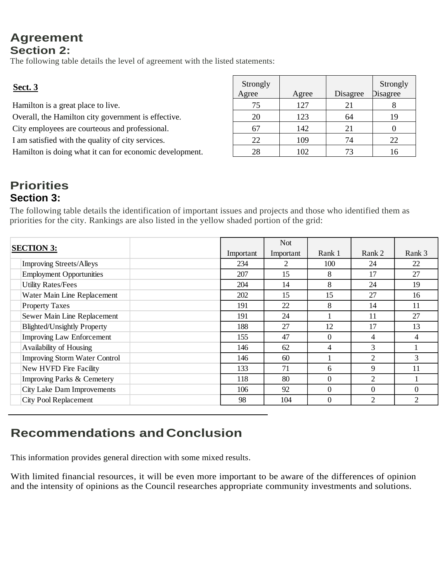## **Agreement Section 2:**

The following table details the level of agreement with the listed statements:

| <b>Sect. 3</b>                                          | Strongly<br>Agree | Agree | Disagree | Strongly<br>Disagree |
|---------------------------------------------------------|-------------------|-------|----------|----------------------|
| Hamilton is a great place to live.                      | 75                | 127   | 21       |                      |
| Overall, the Hamilton city government is effective.     | 20                | 123   | 64       | 19                   |
| City employees are courteous and professional.          | 67                | 142   | 21       |                      |
| I am satisfied with the quality of city services.       | 22                | 109   | 74       | 22                   |
| Hamilton is doing what it can for economic development. | 28                | 102   | 73       | 16                   |

## **Priorities Section 3:**

The following table details the identification of important issues and projects and those who identified them as priorities for the city. Rankings are also listed in the yellow shaded portion of the grid:

| <b>SECTION 3:</b>                    |           | Not.      |          |                |               |
|--------------------------------------|-----------|-----------|----------|----------------|---------------|
|                                      | Important | Important | Rank 1   | Rank 2         | Rank 3        |
| <b>Improving Streets/Alleys</b>      | 234       | 2         | 100      | 24             | 22            |
| <b>Employment Opportunities</b>      | 207       | 15        | 8        | 17             | 27            |
| <b>Utility Rates/Fees</b>            | 204       | 14        | 8        | 24             | 19            |
| Water Main Line Replacement          | 202       | 15        | 15       | 27             | 16            |
| <b>Property Taxes</b>                | 191       | 22        | 8        | 14             | 11            |
| Sewer Main Line Replacement          | 191       | 24        |          | 11             | 27            |
| <b>Blighted/Unsightly Property</b>   | 188       | 27        | 12       | 17             | 13            |
| <b>Improving Law Enforcement</b>     | 155       | 47        | $\Omega$ | 4              | 4             |
| Availability of Housing              | 146       | 62        | 4        | 3              |               |
| <b>Improving Storm Water Control</b> | 146       | 60        |          | $\overline{2}$ | $\mathcal{R}$ |
| New HVFD Fire Facility               | 133       | 71        | 6        | 9              | 11            |
| Improving Parks & Cemetery           | 118       | 80        | $\Omega$ | 2              |               |
| <b>City Lake Dam Improvements</b>    | 106       | 92        | $\Omega$ | $\Omega$       | $\Omega$      |
| City Pool Replacement                | 98        | 104       | $\Omega$ | 2              | 2             |

# **Recommendations and Conclusion**

This information provides general direction with some mixed results.

With limited financial resources, it will be even more important to be aware of the differences of opinion and the intensity of opinions as the Council researches appropriate community investments and solutions.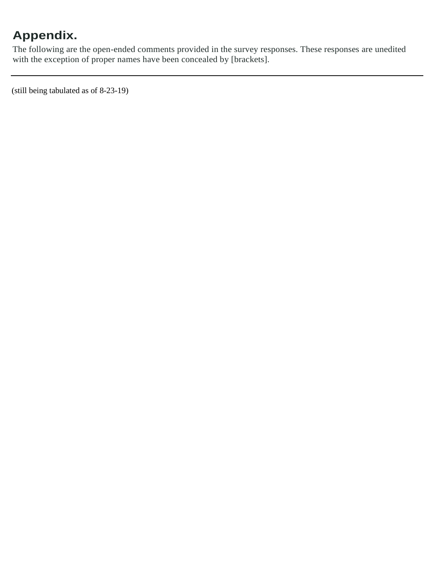# **Appendix.**

The following are the open-ended comments provided in the survey responses. These responses are unedited with the exception of proper names have been concealed by [brackets].

(still being tabulated as of 8-23-19)